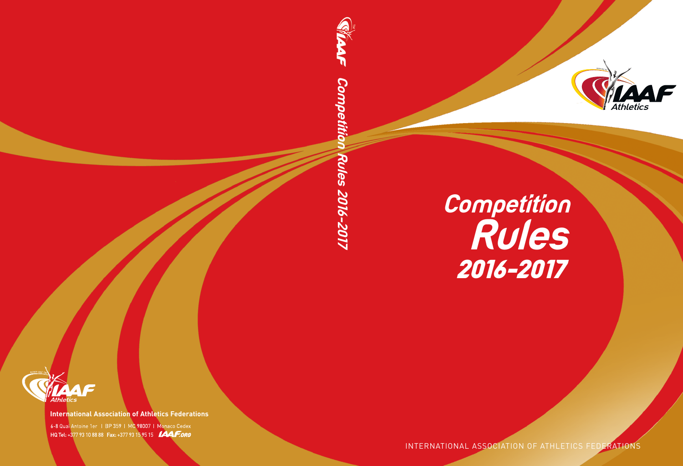

# **Competition Rules** 2016-2017

INTERNATIONAL ASSOCIATION OF ATHLETICS FEDERATIONS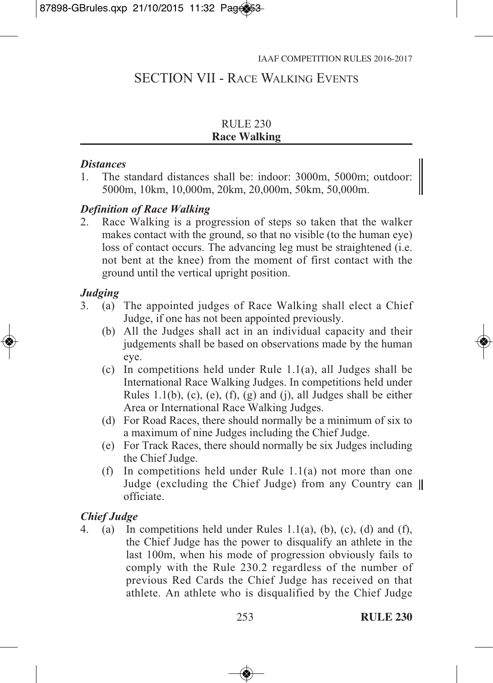# SECTION VII - RACE WALKING EVENTS

#### RULE 230 **Race Walking**

#### *Distances*

1. The standard distances shall be: indoor: 3000m, 5000m; outdoor: 5000m, 10km, 10,000m, 20km, 20,000m, 50km, 50,000m.

## *Definition of Race Walking*

2. Race Walking is a progression of steps so taken that the walker makes contact with the ground, so that no visible (to the human eye) loss of contact occurs. The advancing leg must be straightened (i.e. not bent at the knee) from the moment of first contact with the ground until the vertical upright position.

## *Judging*

- 3. (a) The appointed judges of Race Walking shall elect a Chief Judge, if one has not been appointed previously.
	- (b) All the Judges shall act in an individual capacity and their judgements shall be based on observations made by the human eye.
	- (c) In competitions held under Rule 1.1(a), all Judges shall be International Race Walking Judges. In competitions held under Rules 1.1(b),  $(c)$ ,  $(e)$ ,  $(f)$ ,  $(g)$  and  $(j)$ , all Judges shall be either Area or International Race Walking Judges.
	- (d) For Road Races, there should normally be a minimum of six to a maximum of nine Judges including the Chief Judge.
	- (e) For Track Races, there should normally be six Judges including the Chief Judge.
	- (f) In competitions held under Rule 1.1(a) not more than one Judge (excluding the Chief Judge) from any Country can II officiate.

## *Chief Judge*

4. (a) In competitions held under Rules 1.1(a), (b), (c), (d) and (f), the Chief Judge has the power to disqualify an athlete in the last 100m, when his mode of progression obviously fails to comply with the Rule 230.2 regardless of the number of previous Red Cards the Chief Judge has received on that athlete. An athlete who is disqualified by the Chief Judge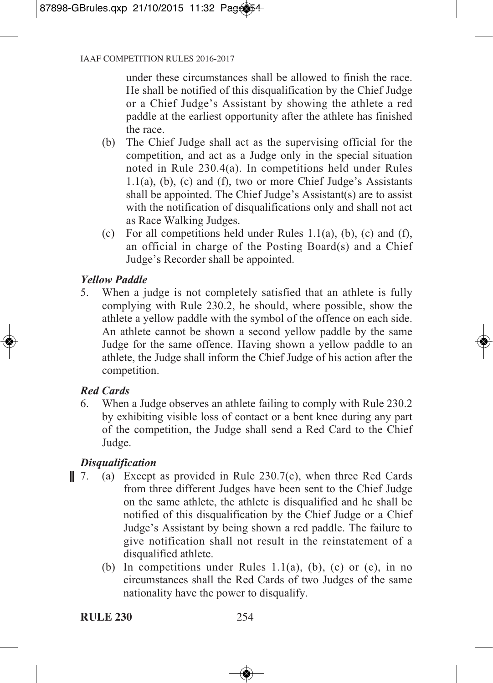under these circumstances shall be allowed to finish the race. He shall be notified of this disqualification by the Chief Judge or a Chief Judge's Assistant by showing the athlete a red paddle at the earliest opportunity after the athlete has finished the race.

- (b) The Chief Judge shall act as the supervising official for the competition, and act as a Judge only in the special situation noted in Rule 230.4(a). In competitions held under Rules 1.1(a), (b), (c) and (f), two or more Chief Judge's Assistants shall be appointed. The Chief Judge's Assistant(s) are to assist with the notification of disqualifications only and shall not act as Race Walking Judges.
- (c) For all competitions held under Rules  $1.1(a)$ , (b), (c) and (f), an official in charge of the Posting Board(s) and a Chief Judge's Recorder shall be appointed.

## *Yellow Paddle*

5. When a judge is not completely satisfied that an athlete is fully complying with Rule 230.2, he should, where possible, show the athlete a yellow paddle with the symbol of the offence on each side. An athlete cannot be shown a second yellow paddle by the same Judge for the same offence. Having shown a yellow paddle to an athlete, the Judge shall inform the Chief Judge of his action after the competition.

## *Red Cards*

6. When a Judge observes an athlete failing to comply with Rule 230.2 by exhibiting visible loss of contact or a bent knee during any part of the competition, the Judge shall send a Red Card to the Chief Judge.

## *Disqualification*

- || 7. (a) Except as provided in Rule  $230.7(c)$ , when three Red Cards from three different Judges have been sent to the Chief Judge on the same athlete, the athlete is disqualified and he shall be notified of this disqualification by the Chief Judge or a Chief Judge's Assistant by being shown a red paddle. The failure to give notification shall not result in the reinstatement of a disqualified athlete.
	- (b) In competitions under Rules 1.1(a), (b), (c) or (e), in no circumstances shall the Red Cards of two Judges of the same nationality have the power to disqualify.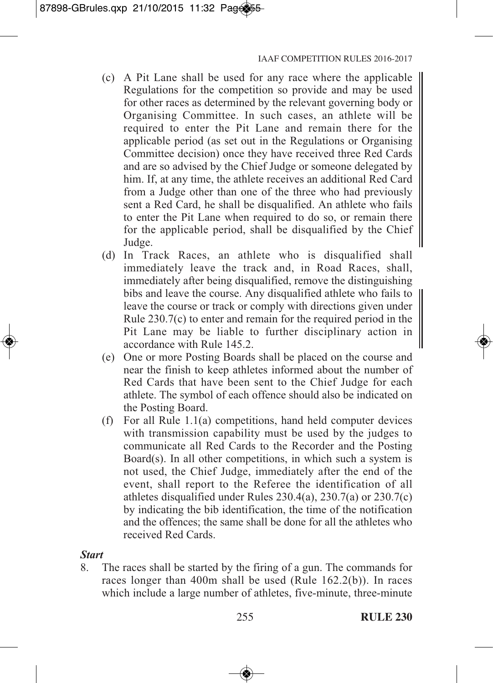- (c) A Pit Lane shall be used for any race where the applicable Regulations for the competition so provide and may be used for other races as determined by the relevant governing body or Organising Committee. In such cases, an athlete will be required to enter the Pit Lane and remain there for the applicable period (as set out in the Regulations or Organising Committee decision) once they have received three Red Cards and are so advised by the Chief Judge or someone delegated by him. If, at any time, the athlete receives an additional Red Card from a Judge other than one of the three who had previously sent a Red Card, he shall be disqualified. An athlete who fails to enter the Pit Lane when required to do so, or remain there for the applicable period, shall be disqualified by the Chief Judge.
- (d) In Track Races, an athlete who is disqualified shall immediately leave the track and, in Road Races, shall, immediately after being disqualified, remove the distinguishing bibs and leave the course. Any disqualified athlete who fails to leave the course or track or comply with directions given under Rule 230.7(c) to enter and remain for the required period in the Pit Lane may be liable to further disciplinary action in accordance with Rule 145.2.
- (e) One or more Posting Boards shall be placed on the course and near the finish to keep athletes informed about the number of Red Cards that have been sent to the Chief Judge for each athlete. The symbol of each offence should also be indicated on the Posting Board.
- (f) For all Rule 1.1(a) competitions, hand held computer devices with transmission capability must be used by the judges to communicate all Red Cards to the Recorder and the Posting Board(s). In all other competitions, in which such a system is not used, the Chief Judge, immediately after the end of the event, shall report to the Referee the identification of all athletes disqualified under Rules 230.4(a), 230.7(a) or 230.7(c) by indicating the bib identification, the time of the notification and the offences; the same shall be done for all the athletes who received Red Cards.

## *Start*

8. The races shall be started by the firing of a gun. The commands for races longer than 400m shall be used (Rule 162.2(b)). In races which include a large number of athletes, five-minute, three-minute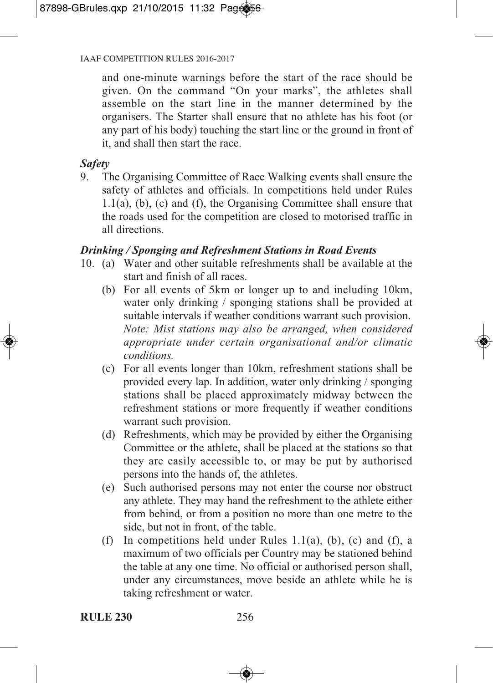#### IAAF COMPETITION RULES 2016-2017

and one-minute warnings before the start of the race should be given. On the command "On your marks", the athletes shall assemble on the start line in the manner determined by the organisers. The Starter shall ensure that no athlete has his foot (or any part of his body) touching the start line or the ground in front of it, and shall then start the race.

## *Safety*

9. The Organising Committee of Race Walking events shall ensure the safety of athletes and officials. In competitions held under Rules 1.1(a), (b), (c) and (f), the Organising Committee shall ensure that the roads used for the competition are closed to motorised traffic in all directions.

## *Drinking / Sponging and Refreshment Stations in Road Events*

- 10. (a) Water and other suitable refreshments shall be available at the start and finish of all races.
	- (b) For all events of 5km or longer up to and including 10km, water only drinking / sponging stations shall be provided at suitable intervals if weather conditions warrant such provision. *Note: Mist stations may also be arranged, when considered appropriate under certain organisational and/or climatic conditions.*
	- (c) For all events longer than 10km, refreshment stations shall be provided every lap. In addition, water only drinking / sponging stations shall be placed approximately midway between the refreshment stations or more frequently if weather conditions warrant such provision.
	- (d) Refreshments, which may be provided by either the Organising Committee or the athlete, shall be placed at the stations so that they are easily accessible to, or may be put by authorised persons into the hands of, the athletes.
	- (e) Such authorised persons may not enter the course nor obstruct any athlete. They may hand the refreshment to the athlete either from behind, or from a position no more than one metre to the side, but not in front, of the table.
	- (f) In competitions held under Rules  $1.1(a)$ , (b), (c) and (f), a maximum of two officials per Country may be stationed behind the table at any one time. No official or authorised person shall, under any circumstances, move beside an athlete while he is taking refreshment or water.